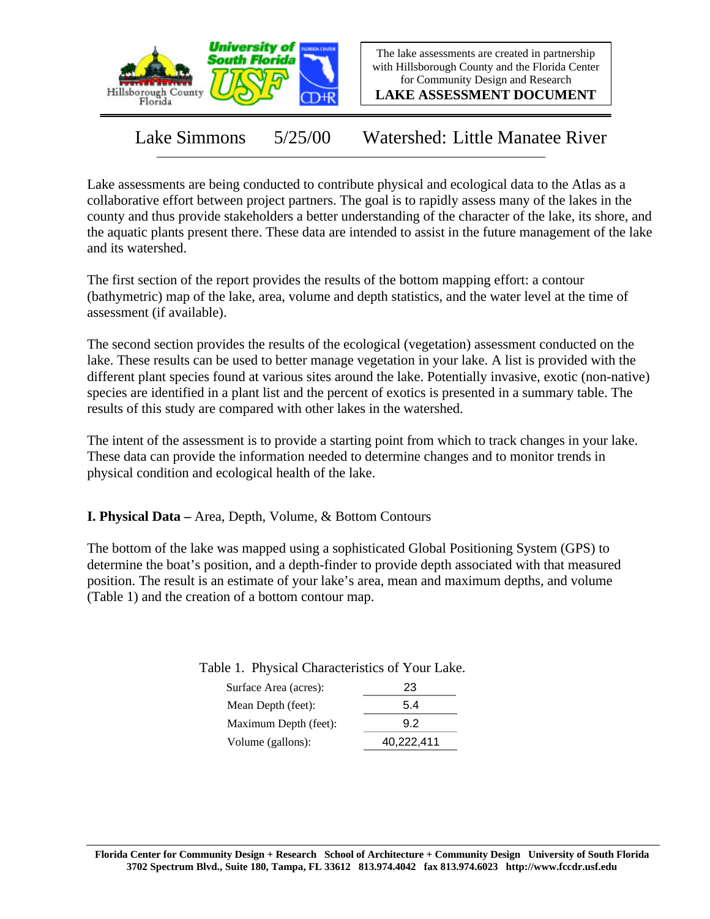

The lake assessments are created in partnership with Hillsborough County and the Florida Center for Community Design and Research

**LAKE ASSESSMENT DOCUMENT**

Lake Simmons 5/25/00 Watershed: Little Manatee River

Lake assessments are being conducted to contribute physical and ecological data to the Atlas as a collaborative effort between project partners. The goal is to rapidly assess many of the lakes in the county and thus provide stakeholders a better understanding of the character of the lake, its shore, and the aquatic plants present there. These data are intended to assist in the future management of the lake and its watershed.

The first section of the report provides the results of the bottom mapping effort: a contour (bathymetric) map of the lake, area, volume and depth statistics, and the water level at the time of assessment (if available).

The second section provides the results of the ecological (vegetation) assessment conducted on the lake. These results can be used to better manage vegetation in your lake. A list is provided with the different plant species found at various sites around the lake. Potentially invasive, exotic (non-native) species are identified in a plant list and the percent of exotics is presented in a summary table. The results of this study are compared with other lakes in the watershed.

The intent of the assessment is to provide a starting point from which to track changes in your lake. These data can provide the information needed to determine changes and to monitor trends in physical condition and ecological health of the lake.

**I. Physical Data –** Area, Depth, Volume, & Bottom Contours

The bottom of the lake was mapped using a sophisticated Global Positioning System (GPS) to determine the boat's position, and a depth-finder to provide depth associated with that measured position. The result is an estimate of your lake's area, mean and maximum depths, and volume (Table 1) and the creation of a bottom contour map.

| Surface Area (acres): | 23         |  |
|-----------------------|------------|--|
| Mean Depth (feet):    | 5.4        |  |
| Maximum Depth (feet): | 9.2        |  |
| Volume (gallons):     | 40,222,411 |  |

Table 1. Physical Characteristics of Your Lake.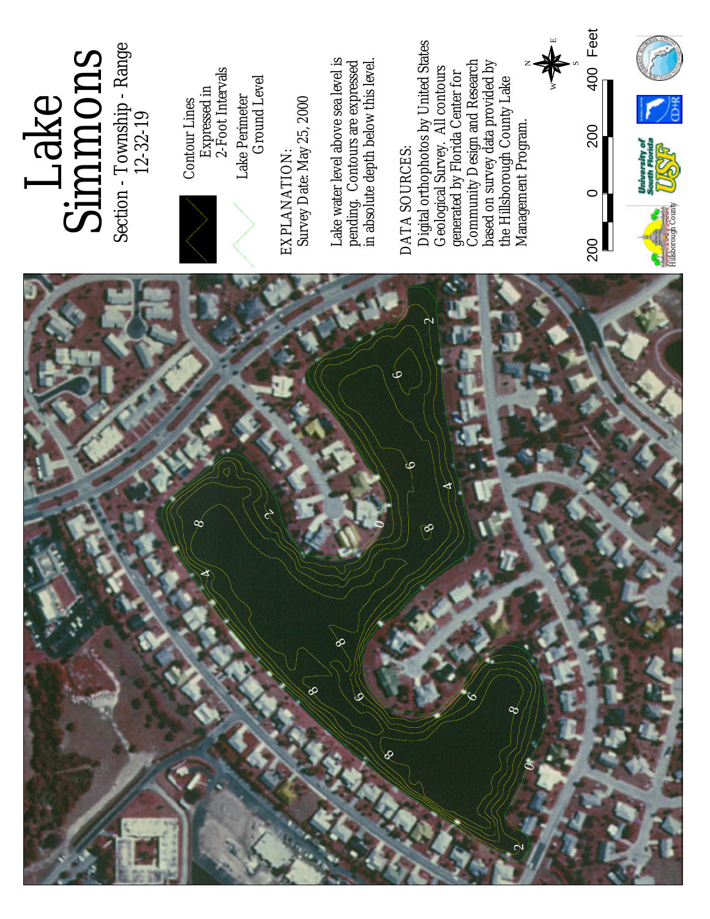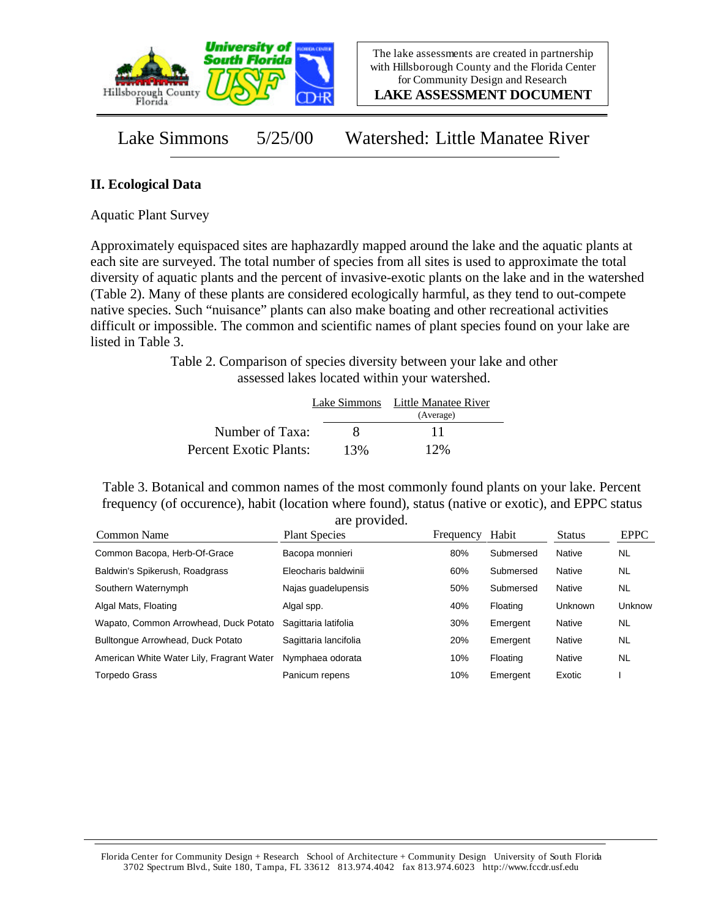

**LAKE ASSESSMENT DOCUMENT**

Lake Simmons 5/25/00 Watershed: Little Manatee River

## **II. Ecological Data**

Aquatic Plant Survey

Approximately equispaced sites are haphazardly mapped around the lake and the aquatic plants at each site are surveyed. The total number of species from all sites is used to approximate the total diversity of aquatic plants and the percent of invasive-exotic plants on the lake and in the watershed (Table 2). Many of these plants are considered ecologically harmful, as they tend to out-compete native species. Such "nuisance" plants can also make boating and other recreational activities difficult or impossible. The common and scientific names of plant species found on your lake are listed in Table 3.

> Table 2. Comparison of species diversity between your lake and other assessed lakes located within your watershed.

|                        |     | Lake Simmons Little Manatee River |  |  |
|------------------------|-----|-----------------------------------|--|--|
|                        |     | (Average)                         |  |  |
| Number of Taxa:        | x   | 11                                |  |  |
| Percent Exotic Plants: | 13% | 12%                               |  |  |

Table 3. Botanical and common names of the most commonly found plants on your lake. Percent frequency (of occurence), habit (location where found), status (native or exotic), and EPPC status are provided.

| Common Name                               | <b>Plant Species</b>  | Frequency | Habit     | <b>Status</b>  | <b>EPPC</b> |
|-------------------------------------------|-----------------------|-----------|-----------|----------------|-------------|
| Common Bacopa, Herb-Of-Grace              | Bacopa monnieri       | 80%       | Submersed | Native         | <b>NL</b>   |
| Baldwin's Spikerush, Roadgrass            | Eleocharis baldwinii  | 60%       | Submersed | Native         | <b>NL</b>   |
| Southern Waternymph                       | Najas guadelupensis   | 50%       | Submersed | Native         | <b>NL</b>   |
| Algal Mats, Floating                      | Algal spp.            | 40%       | Floating  | <b>Unknown</b> | Unknow      |
| Wapato, Common Arrowhead, Duck Potato     | Sagittaria latifolia  | 30%       | Emergent  | Native         | <b>NL</b>   |
| Bulltonque Arrowhead, Duck Potato         | Sagittaria lancifolia | 20%       | Emergent  | Native         | <b>NL</b>   |
| American White Water Lily, Fragrant Water | Nymphaea odorata      | 10%       | Floating  | Native         | <b>NL</b>   |
| <b>Torpedo Grass</b>                      | Panicum repens        | 10%       | Emergent  | Exotic         |             |